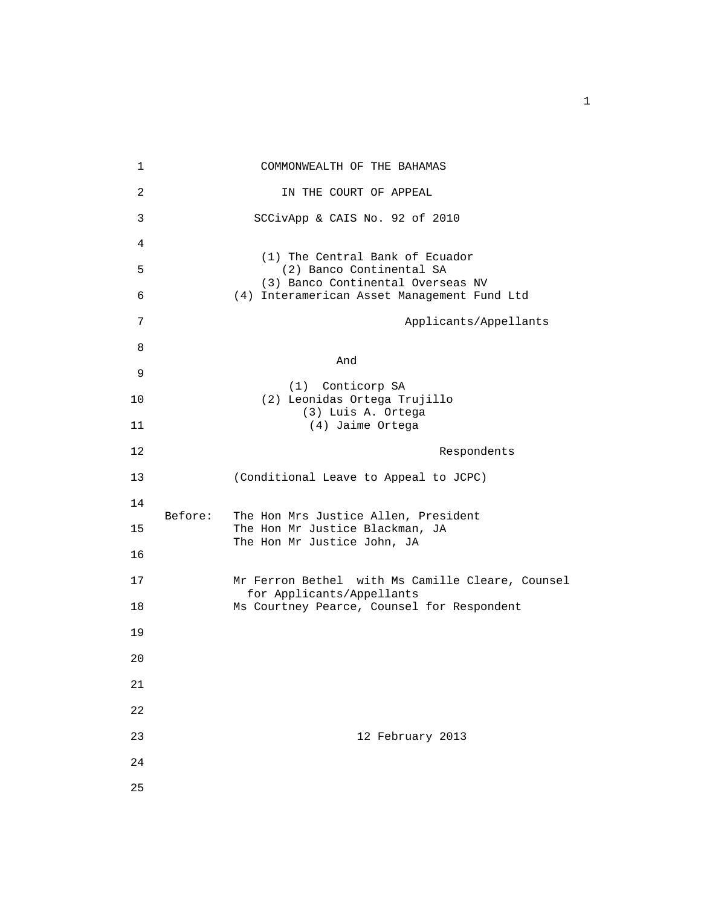| $\mathbf 1$ |         | COMMONWEALTH OF THE BAHAMAS                                                      |
|-------------|---------|----------------------------------------------------------------------------------|
| 2           |         | IN THE COURT OF APPEAL                                                           |
| 3           |         | SCCivApp & CAIS No. 92 of 2010                                                   |
| 4           |         |                                                                                  |
| 5           |         | (1) The Central Bank of Ecuador<br>(2) Banco Continental SA                      |
| 6           |         | (3) Banco Continental Overseas NV<br>(4) Interamerican Asset Management Fund Ltd |
| 7           |         | Applicants/Appellants                                                            |
| 8           |         |                                                                                  |
| 9           |         | And                                                                              |
| 10          |         | (1) Conticorp SA<br>(2) Leonidas Ortega Trujillo                                 |
| 11          |         | (3) Luis A. Ortega<br>(4) Jaime Ortega                                           |
| 12          |         | Respondents                                                                      |
| 13          |         | (Conditional Leave to Appeal to JCPC)                                            |
| 14          | Before: |                                                                                  |
| 15          |         | The Hon Mrs Justice Allen, President<br>The Hon Mr Justice Blackman, JA          |
| 16          |         | The Hon Mr Justice John, JA                                                      |
| 17          |         | Mr Ferron Bethel with Ms Camille Cleare, Counsel<br>for Applicants/Appellants    |
| 18          |         | Ms Courtney Pearce, Counsel for Respondent                                       |
| 19          |         |                                                                                  |
| 20          |         |                                                                                  |
| 21          |         |                                                                                  |
| 22          |         |                                                                                  |
| 23          |         | 12 February 2013                                                                 |
| 24          |         |                                                                                  |
| 25          |         |                                                                                  |